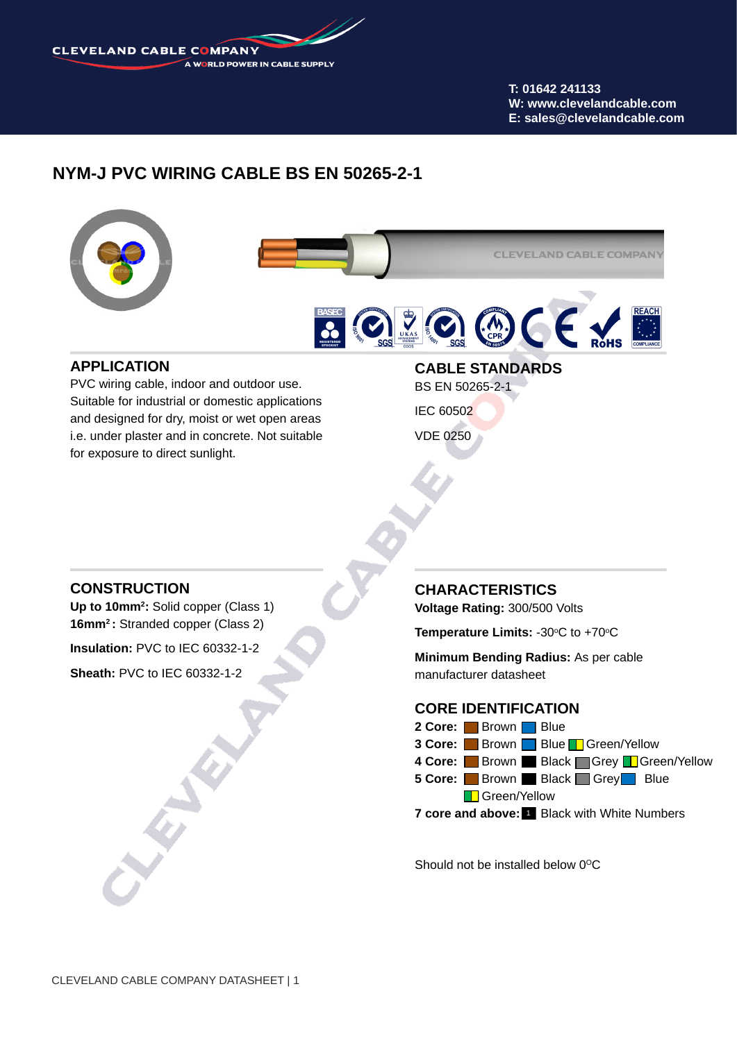

**T: 01642 241133 W: www.clevelandcable.com E: sales@clevelandcable.com**

# **NYM-J PVC WIRING CABLE BS EN 50265-2-1**



### **APPLICATION**

PVC wiring cable, indoor and outdoor use. Suitable for industrial or domestic applications and designed for dry, moist or wet open areas i.e. under plaster and in concrete. Not suitable for exposure to direct sunlight.

**CABLE STANDARDS**

BS EN 50265-2-1

IEC 60502

VDE 0250

## **CONSTRUCTION**

**Up to 10mm2 :** Solid copper (Class 1) 16mm<sup>2</sup>: Stranded copper (Class 2)

**Insulation:** PVC to IEC 60332-1-2

**Sheath:** PVC to IEC 60332-1-2

#### **CHARACTERISTICS**

**Voltage Rating:** 300/500 Volts

**Temperature Limits: -30°C to +70°C** 

**Minimum Bending Radius:** As per cable manufacturer datasheet

### **CORE IDENTIFICATION**



Should not be installed below  $0^{\circ}$ C